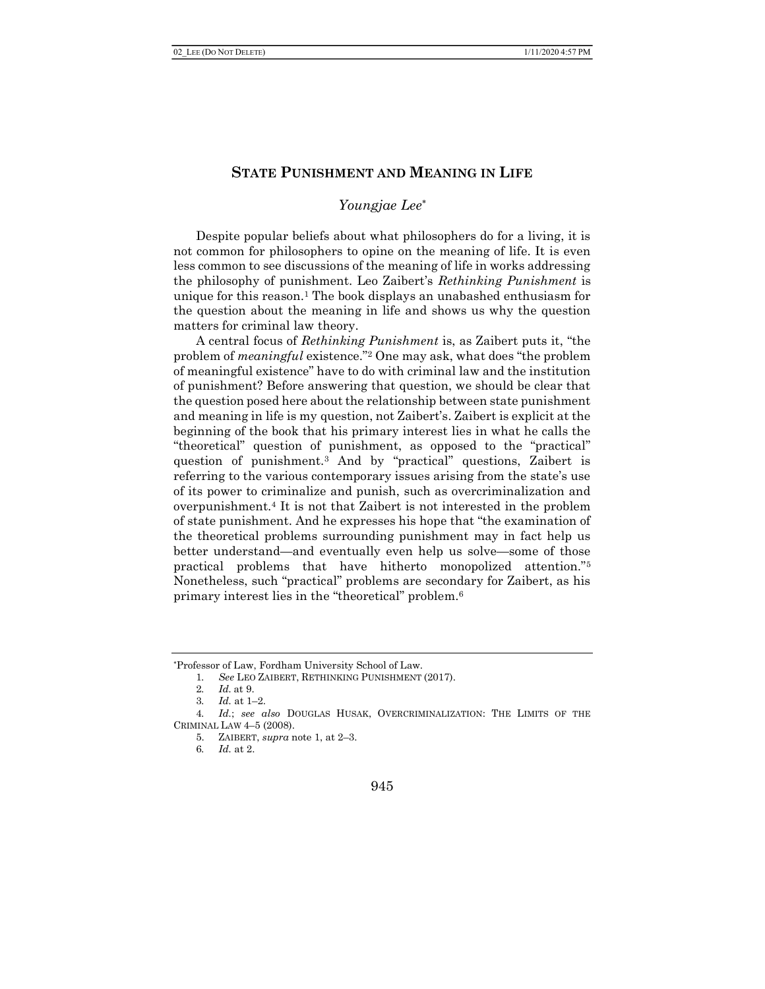# Youngjae Lee

Despite popular beliefs about what philosophers do for a living, it is not common for philosophers to opine on the meaning of life. It is even less common to see discussions of the meaning of life in works addressing the philosophy of punishment. Leo Zaibert's Rethinking Punishment is unique for this reason.1 The book displays an unabashed enthusiasm for the question about the meaning in life and shows us why the question matters for criminal law theory.

A central focus of Rethinking Punishment is, as Zaibert puts it, "the problem of *meaningful* existence."<sup>2</sup> One may ask, what does "the problem of meaningful existence" have to do with criminal law and the institution of punishment? Before answering that question, we should be clear that the question posed here about the relationship between state punishment and meaning in life is my question, not Zaibert's. Zaibert is explicit at the beginning of the book that his primary interest lies in what he calls the "theoretical" question of punishment, as opposed to the "practical" question of punishment.3 And by "practical" questions, Zaibert is referring to the various contemporary issues arising from the state's use of its power to criminalize and punish, such as overcriminalization and overpunishment.4 It is not that Zaibert is not interested in the problem of state punishment. And he expresses his hope that "the examination of the theoretical problems surrounding punishment may in fact help us better understand—and eventually even help us solve—some of those practical problems that have hitherto monopolized attention."<sup>5</sup> Nonetheless, such "practical" problems are secondary for Zaibert, as his primary interest lies in the "theoretical" problem.<sup>6</sup>

Professor of Law, Fordham University School of Law.

<sup>1</sup>. See LEO ZAIBERT, RETHINKING PUNISHMENT (2017).

<sup>2</sup>. Id. at 9.

<sup>3</sup>. Id. at 1–2.

<sup>4.</sup> Id.; see also DOUGLAS HUSAK, OVERCRIMINALIZATION: THE LIMITS OF THE CRIMINAL LAW 4–5 (2008).

<sup>5.</sup> ZAIBERT, supra note 1, at 2–3.

<sup>6</sup>. Id. at 2.

<sup>945</sup>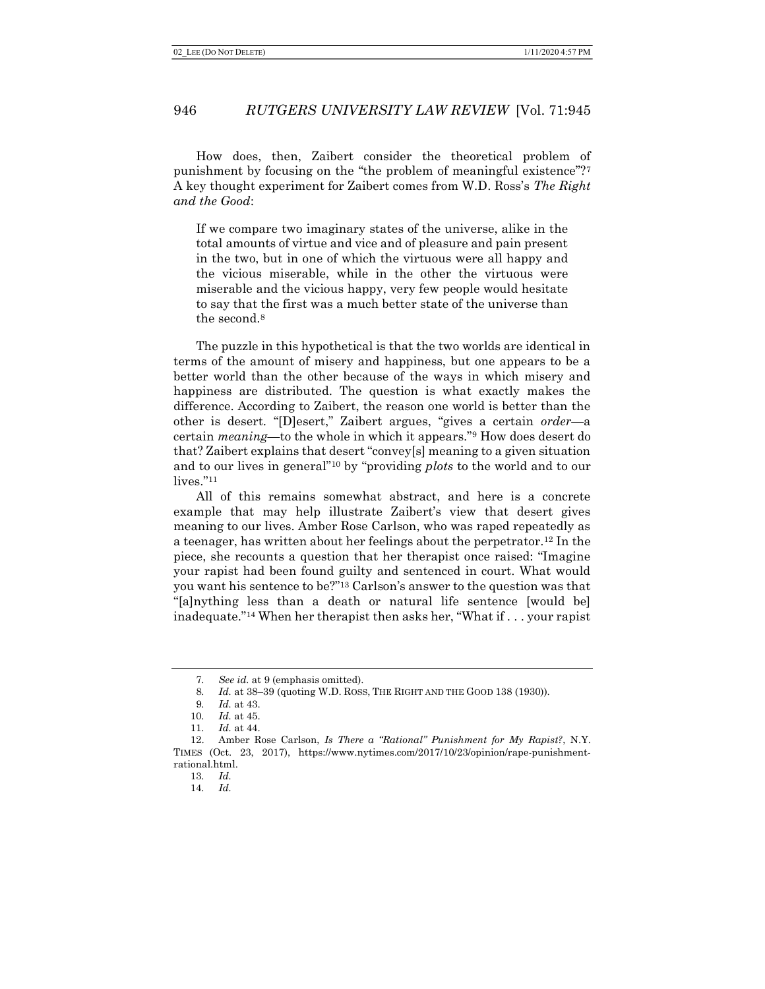How does, then, Zaibert consider the theoretical problem of punishment by focusing on the "the problem of meaningful existence"?<sup>7</sup> A key thought experiment for Zaibert comes from W.D. Ross's The Right and the Good:

If we compare two imaginary states of the universe, alike in the total amounts of virtue and vice and of pleasure and pain present in the two, but in one of which the virtuous were all happy and the vicious miserable, while in the other the virtuous were miserable and the vicious happy, very few people would hesitate to say that the first was a much better state of the universe than the second.<sup>8</sup>

The puzzle in this hypothetical is that the two worlds are identical in terms of the amount of misery and happiness, but one appears to be a better world than the other because of the ways in which misery and happiness are distributed. The question is what exactly makes the difference. According to Zaibert, the reason one world is better than the other is desert. "[D]esert," Zaibert argues, "gives a certain order—a certain meaning—to the whole in which it appears."9 How does desert do that? Zaibert explains that desert "convey[s] meaning to a given situation and to our lives in general"10 by "providing plots to the world and to our lives."<sup>11</sup>

All of this remains somewhat abstract, and here is a concrete example that may help illustrate Zaibert's view that desert gives meaning to our lives. Amber Rose Carlson, who was raped repeatedly as a teenager, has written about her feelings about the perpetrator.12 In the piece, she recounts a question that her therapist once raised: "Imagine your rapist had been found guilty and sentenced in court. What would you want his sentence to be?"13 Carlson's answer to the question was that "[a]nything less than a death or natural life sentence [would be] inadequate."14 When her therapist then asks her, "What if . . . your rapist

<sup>7</sup>. See id. at 9 (emphasis omitted).

<sup>8</sup>. Id. at 38–39 (quoting W.D. ROSS, THE RIGHT AND THE GOOD 138 (1930)).

<sup>9</sup>. Id. at 43.

<sup>10</sup>. Id. at 45.

<sup>11</sup>. Id. at 44.

<sup>12.</sup> Amber Rose Carlson, Is There a "Rational" Punishment for My Rapist?, N.Y. TIMES (Oct. 23, 2017), https://www.nytimes.com/2017/10/23/opinion/rape-punishmentrational.html.

<sup>13</sup>. Id.

<sup>14</sup>. Id.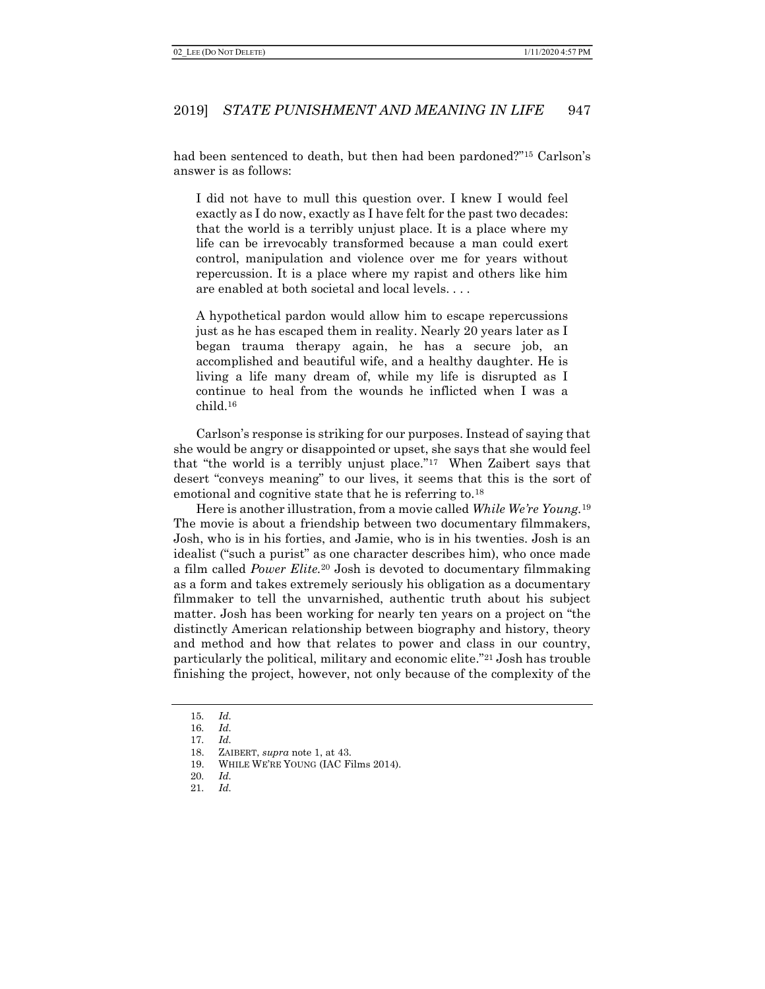had been sentenced to death, but then had been pardoned?"15 Carlson's answer is as follows:

I did not have to mull this question over. I knew I would feel exactly as I do now, exactly as I have felt for the past two decades: that the world is a terribly unjust place. It is a place where my life can be irrevocably transformed because a man could exert control, manipulation and violence over me for years without repercussion. It is a place where my rapist and others like him are enabled at both societal and local levels. . . .

A hypothetical pardon would allow him to escape repercussions just as he has escaped them in reality. Nearly 20 years later as I began trauma therapy again, he has a secure job, an accomplished and beautiful wife, and a healthy daughter. He is living a life many dream of, while my life is disrupted as I continue to heal from the wounds he inflicted when I was a child.<sup>16</sup>

Carlson's response is striking for our purposes. Instead of saying that she would be angry or disappointed or upset, she says that she would feel that "the world is a terribly unjust place."17 When Zaibert says that desert "conveys meaning" to our lives, it seems that this is the sort of emotional and cognitive state that he is referring to.<sup>18</sup>

Here is another illustration, from a movie called While We're Young.<sup>19</sup> The movie is about a friendship between two documentary filmmakers, Josh, who is in his forties, and Jamie, who is in his twenties. Josh is an idealist ("such a purist" as one character describes him), who once made a film called Power Elite.20 Josh is devoted to documentary filmmaking as a form and takes extremely seriously his obligation as a documentary filmmaker to tell the unvarnished, authentic truth about his subject matter. Josh has been working for nearly ten years on a project on "the distinctly American relationship between biography and history, theory and method and how that relates to power and class in our country, particularly the political, military and economic elite."21 Josh has trouble finishing the project, however, not only because of the complexity of the

<sup>15</sup>. Id.

<sup>16</sup>. Id.

<sup>17</sup>. Id.

<sup>18.</sup> ZAIBERT, supra note 1, at 43.

<sup>19.</sup> WHILE WE'RE YOUNG (IAC Films 2014).

<sup>20</sup>. Id.

<sup>21</sup>. Id.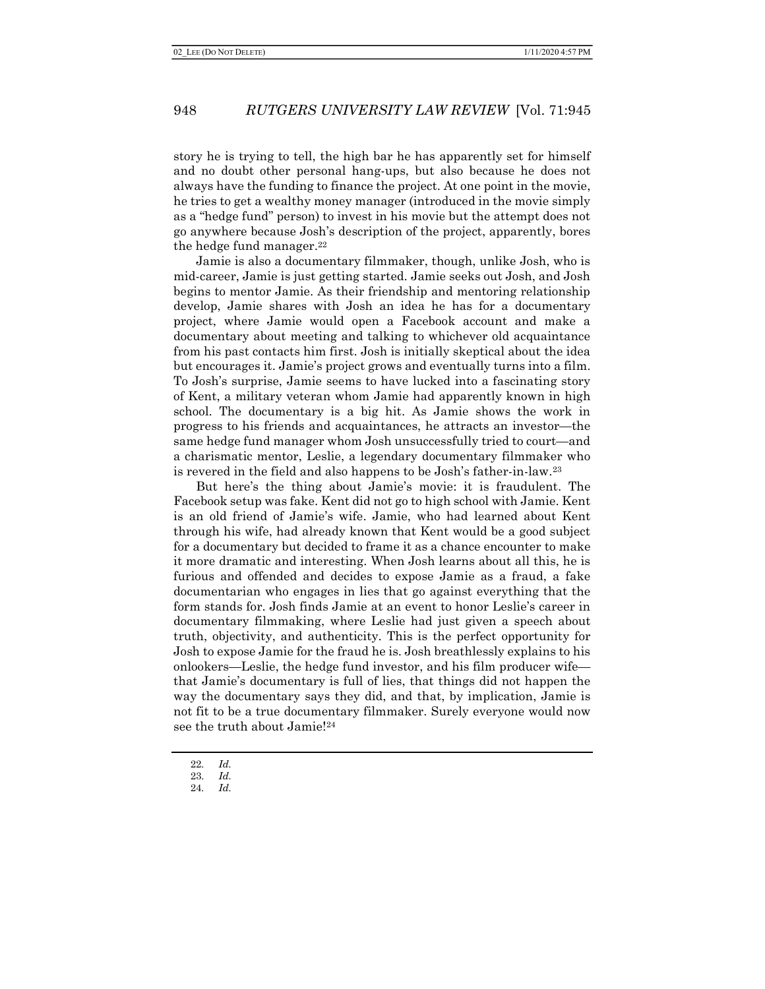story he is trying to tell, the high bar he has apparently set for himself and no doubt other personal hang-ups, but also because he does not always have the funding to finance the project. At one point in the movie, he tries to get a wealthy money manager (introduced in the movie simply as a "hedge fund" person) to invest in his movie but the attempt does not go anywhere because Josh's description of the project, apparently, bores the hedge fund manager.<sup>22</sup>

Jamie is also a documentary filmmaker, though, unlike Josh, who is mid-career, Jamie is just getting started. Jamie seeks out Josh, and Josh begins to mentor Jamie. As their friendship and mentoring relationship develop, Jamie shares with Josh an idea he has for a documentary project, where Jamie would open a Facebook account and make a documentary about meeting and talking to whichever old acquaintance from his past contacts him first. Josh is initially skeptical about the idea but encourages it. Jamie's project grows and eventually turns into a film. To Josh's surprise, Jamie seems to have lucked into a fascinating story of Kent, a military veteran whom Jamie had apparently known in high school. The documentary is a big hit. As Jamie shows the work in progress to his friends and acquaintances, he attracts an investor—the same hedge fund manager whom Josh unsuccessfully tried to court—and a charismatic mentor, Leslie, a legendary documentary filmmaker who is revered in the field and also happens to be Josh's father-in-law.<sup>23</sup>

But here's the thing about Jamie's movie: it is fraudulent. The Facebook setup was fake. Kent did not go to high school with Jamie. Kent is an old friend of Jamie's wife. Jamie, who had learned about Kent through his wife, had already known that Kent would be a good subject for a documentary but decided to frame it as a chance encounter to make it more dramatic and interesting. When Josh learns about all this, he is furious and offended and decides to expose Jamie as a fraud, a fake documentarian who engages in lies that go against everything that the form stands for. Josh finds Jamie at an event to honor Leslie's career in documentary filmmaking, where Leslie had just given a speech about truth, objectivity, and authenticity. This is the perfect opportunity for Josh to expose Jamie for the fraud he is. Josh breathlessly explains to his onlookers—Leslie, the hedge fund investor, and his film producer wife that Jamie's documentary is full of lies, that things did not happen the way the documentary says they did, and that, by implication, Jamie is not fit to be a true documentary filmmaker. Surely everyone would now see the truth about Jamie!<sup>24</sup>

<sup>22</sup>. Id.

<sup>23</sup>. Id.

<sup>24</sup>. Id.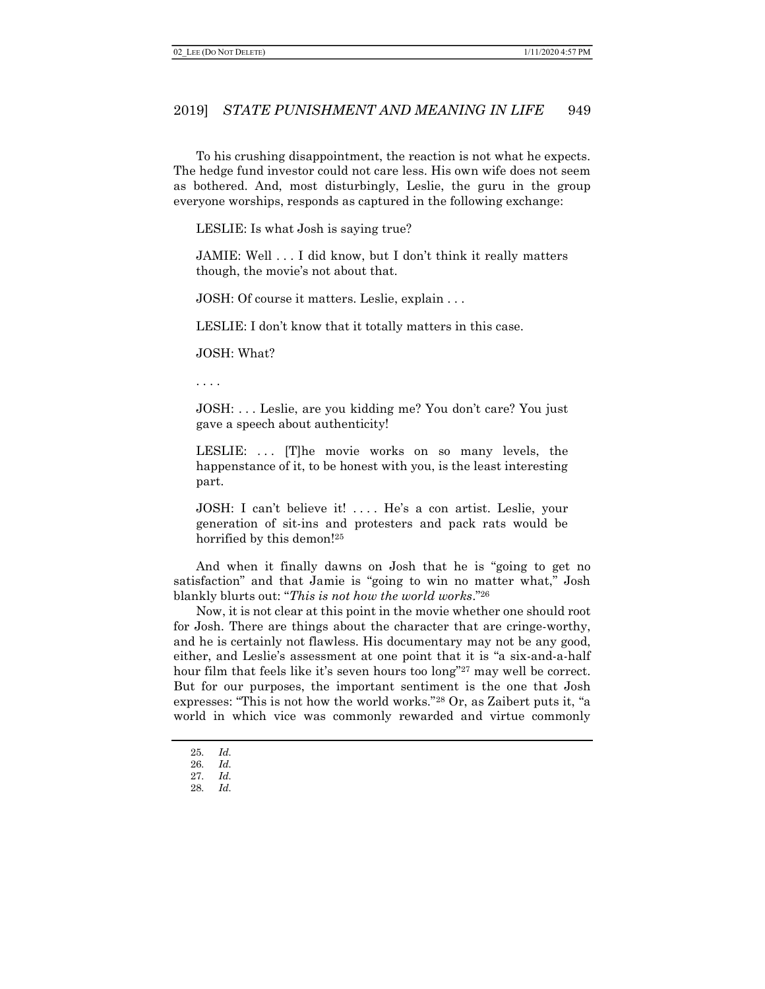To his crushing disappointment, the reaction is not what he expects. The hedge fund investor could not care less. His own wife does not seem as bothered. And, most disturbingly, Leslie, the guru in the group everyone worships, responds as captured in the following exchange:

LESLIE: Is what Josh is saying true?

JAMIE: Well . . . I did know, but I don't think it really matters though, the movie's not about that.

JOSH: Of course it matters. Leslie, explain . . .

LESLIE: I don't know that it totally matters in this case.

JOSH: What?

. . . .

JOSH: . . . Leslie, are you kidding me? You don't care? You just gave a speech about authenticity!

LESLIE: ... [T]he movie works on so many levels, the happenstance of it, to be honest with you, is the least interesting part.

JOSH: I can't believe it! . . . . He's a con artist. Leslie, your generation of sit-ins and protesters and pack rats would be horrified by this demon!<sup>25</sup>

And when it finally dawns on Josh that he is "going to get no satisfaction" and that Jamie is "going to win no matter what," Josh blankly blurts out: "This is not how the world works."<sup>26</sup>

Now, it is not clear at this point in the movie whether one should root for Josh. There are things about the character that are cringe-worthy, and he is certainly not flawless. His documentary may not be any good, either, and Leslie's assessment at one point that it is "a six-and-a-half hour film that feels like it's seven hours too long"<sup>27</sup> may well be correct. But for our purposes, the important sentiment is the one that Josh expresses: "This is not how the world works."28 Or, as Zaibert puts it, "a world in which vice was commonly rewarded and virtue commonly

<sup>25</sup>. Id.

<sup>26</sup>. Id.

<sup>27</sup>. Id.

<sup>28</sup>. Id.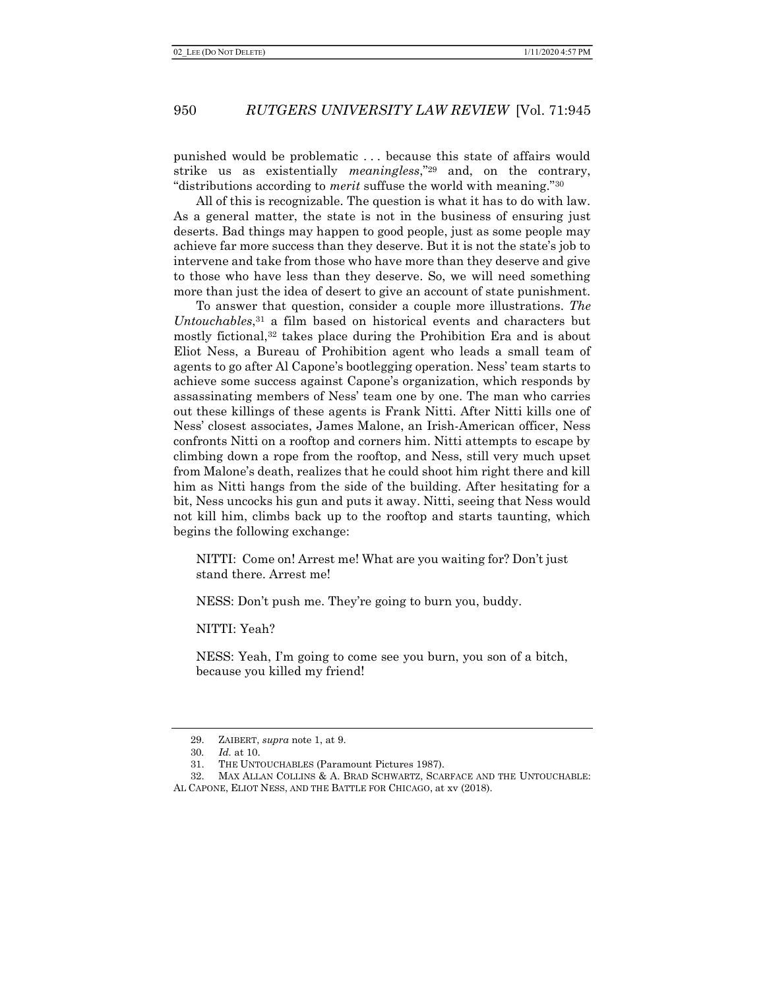punished would be problematic . . . because this state of affairs would strike us as existentially meaningless,"29 and, on the contrary, "distributions according to merit suffuse the world with meaning."<sup>30</sup>

All of this is recognizable. The question is what it has to do with law. As a general matter, the state is not in the business of ensuring just deserts. Bad things may happen to good people, just as some people may achieve far more success than they deserve. But it is not the state's job to intervene and take from those who have more than they deserve and give to those who have less than they deserve. So, we will need something more than just the idea of desert to give an account of state punishment.

To answer that question, consider a couple more illustrations. The Untouchables,<sup>31</sup> a film based on historical events and characters but mostly fictional,32 takes place during the Prohibition Era and is about Eliot Ness, a Bureau of Prohibition agent who leads a small team of agents to go after Al Capone's bootlegging operation. Ness' team starts to achieve some success against Capone's organization, which responds by assassinating members of Ness' team one by one. The man who carries out these killings of these agents is Frank Nitti. After Nitti kills one of Ness' closest associates, James Malone, an Irish-American officer, Ness confronts Nitti on a rooftop and corners him. Nitti attempts to escape by climbing down a rope from the rooftop, and Ness, still very much upset from Malone's death, realizes that he could shoot him right there and kill him as Nitti hangs from the side of the building. After hesitating for a bit, Ness uncocks his gun and puts it away. Nitti, seeing that Ness would not kill him, climbs back up to the rooftop and starts taunting, which begins the following exchange:

NITTI: Come on! Arrest me! What are you waiting for? Don't just stand there. Arrest me!

NESS: Don't push me. They're going to burn you, buddy.

NITTI: Yeah?

NESS: Yeah, I'm going to come see you burn, you son of a bitch, because you killed my friend!

<sup>29.</sup> ZAIBERT, supra note 1, at 9.

<sup>30</sup>. Id. at 10.

<sup>31.</sup> THE UNTOUCHABLES (Paramount Pictures 1987).

<sup>32.</sup> MAX ALLAN COLLINS & A. BRAD SCHWARTZ, SCARFACE AND THE UNTOUCHABLE: AL CAPONE, ELIOT NESS, AND THE BATTLE FOR CHICAGO, at xv (2018).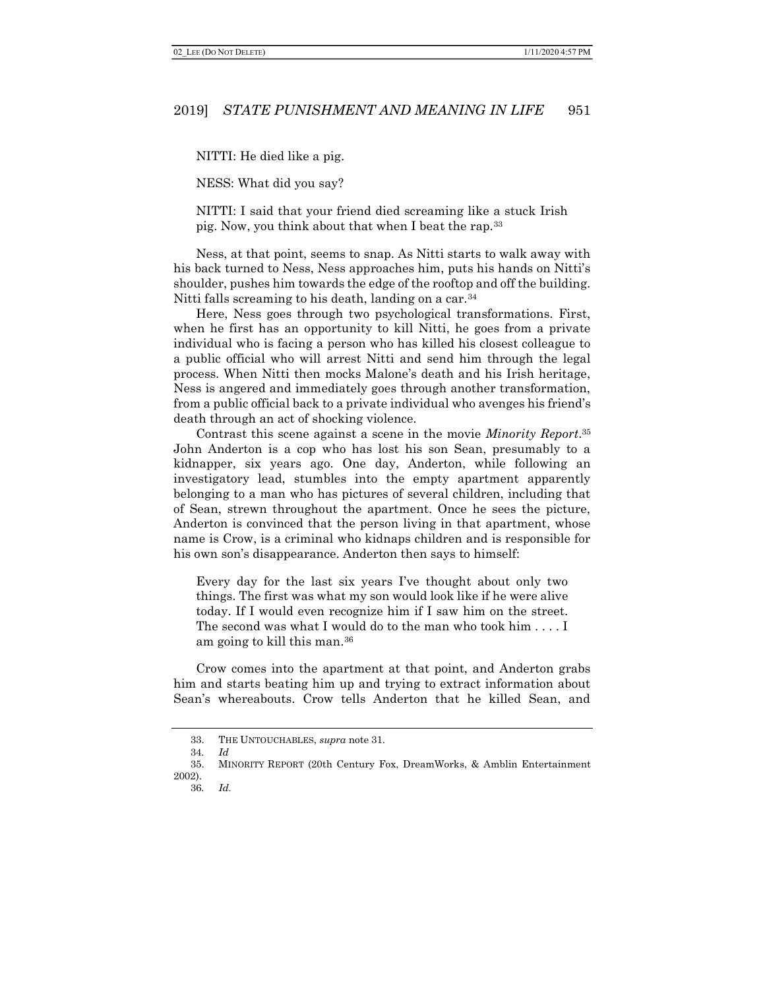NITTI: He died like a pig.

NESS: What did you say?

NITTI: I said that your friend died screaming like a stuck Irish pig. Now, you think about that when I beat the rap.<sup>33</sup>

Ness, at that point, seems to snap. As Nitti starts to walk away with his back turned to Ness, Ness approaches him, puts his hands on Nitti's shoulder, pushes him towards the edge of the rooftop and off the building. Nitti falls screaming to his death, landing on a car.<sup>34</sup>

Here, Ness goes through two psychological transformations. First, when he first has an opportunity to kill Nitti, he goes from a private individual who is facing a person who has killed his closest colleague to a public official who will arrest Nitti and send him through the legal process. When Nitti then mocks Malone's death and his Irish heritage, Ness is angered and immediately goes through another transformation, from a public official back to a private individual who avenges his friend's death through an act of shocking violence.

Contrast this scene against a scene in the movie *Minority Report*.<sup>35</sup> John Anderton is a cop who has lost his son Sean, presumably to a kidnapper, six years ago. One day, Anderton, while following an investigatory lead, stumbles into the empty apartment apparently belonging to a man who has pictures of several children, including that of Sean, strewn throughout the apartment. Once he sees the picture, Anderton is convinced that the person living in that apartment, whose name is Crow, is a criminal who kidnaps children and is responsible for his own son's disappearance. Anderton then says to himself:

Every day for the last six years I've thought about only two things. The first was what my son would look like if he were alive today. If I would even recognize him if I saw him on the street. The second was what I would do to the man who took him . . . . I am going to kill this man.<sup>36</sup>

Crow comes into the apartment at that point, and Anderton grabs him and starts beating him up and trying to extract information about Sean's whereabouts. Crow tells Anderton that he killed Sean, and

<sup>33.</sup> THE UNTOUCHABLES, supra note 31.

<sup>34</sup>. Id

<sup>35.</sup> MINORITY REPORT (20th Century Fox, DreamWorks, & Amblin Entertainment 2002).

<sup>36</sup>. Id.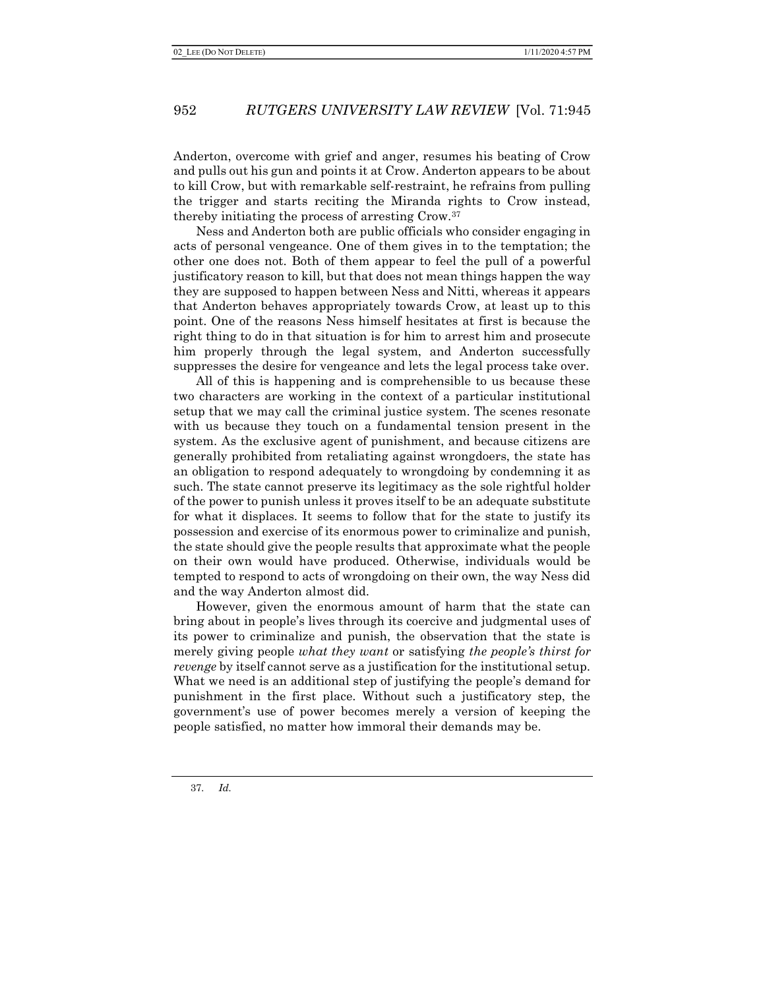Anderton, overcome with grief and anger, resumes his beating of Crow and pulls out his gun and points it at Crow. Anderton appears to be about to kill Crow, but with remarkable self-restraint, he refrains from pulling the trigger and starts reciting the Miranda rights to Crow instead, thereby initiating the process of arresting Crow.<sup>37</sup>

Ness and Anderton both are public officials who consider engaging in acts of personal vengeance. One of them gives in to the temptation; the other one does not. Both of them appear to feel the pull of a powerful justificatory reason to kill, but that does not mean things happen the way they are supposed to happen between Ness and Nitti, whereas it appears that Anderton behaves appropriately towards Crow, at least up to this point. One of the reasons Ness himself hesitates at first is because the right thing to do in that situation is for him to arrest him and prosecute him properly through the legal system, and Anderton successfully suppresses the desire for vengeance and lets the legal process take over.

All of this is happening and is comprehensible to us because these two characters are working in the context of a particular institutional setup that we may call the criminal justice system. The scenes resonate with us because they touch on a fundamental tension present in the system. As the exclusive agent of punishment, and because citizens are generally prohibited from retaliating against wrongdoers, the state has an obligation to respond adequately to wrongdoing by condemning it as such. The state cannot preserve its legitimacy as the sole rightful holder of the power to punish unless it proves itself to be an adequate substitute for what it displaces. It seems to follow that for the state to justify its possession and exercise of its enormous power to criminalize and punish, the state should give the people results that approximate what the people on their own would have produced. Otherwise, individuals would be tempted to respond to acts of wrongdoing on their own, the way Ness did and the way Anderton almost did.

However, given the enormous amount of harm that the state can bring about in people's lives through its coercive and judgmental uses of its power to criminalize and punish, the observation that the state is merely giving people what they want or satisfying the people's thirst for revenge by itself cannot serve as a justification for the institutional setup. What we need is an additional step of justifying the people's demand for punishment in the first place. Without such a justificatory step, the government's use of power becomes merely a version of keeping the people satisfied, no matter how immoral their demands may be.

37. Id.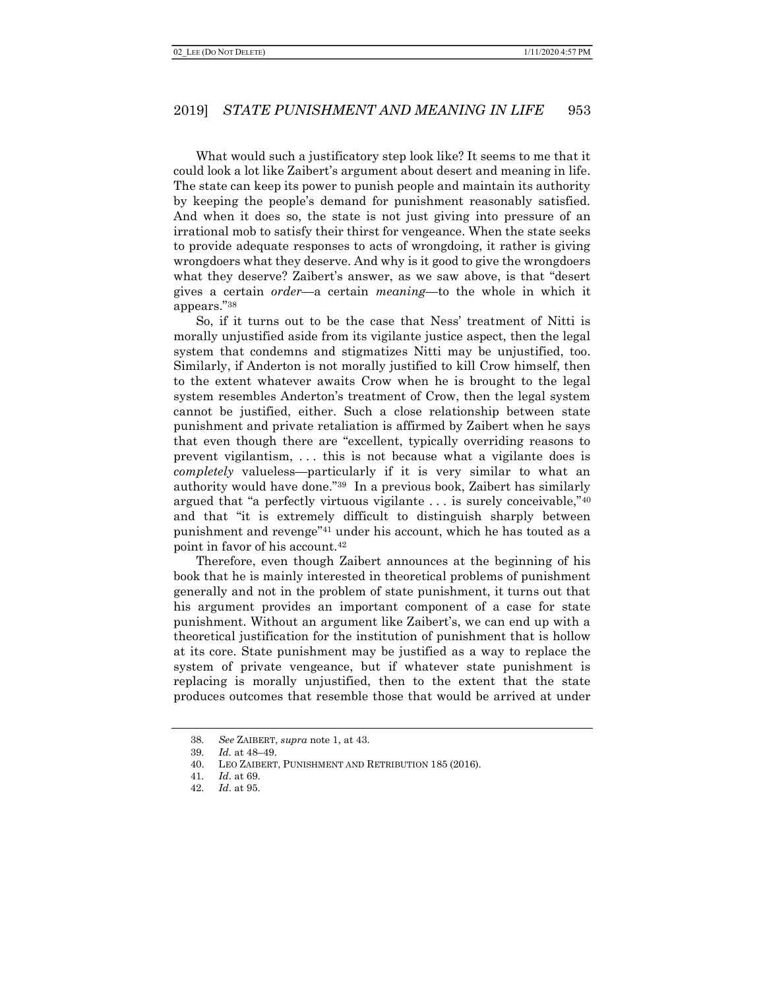What would such a justificatory step look like? It seems to me that it could look a lot like Zaibert's argument about desert and meaning in life. The state can keep its power to punish people and maintain its authority by keeping the people's demand for punishment reasonably satisfied. And when it does so, the state is not just giving into pressure of an irrational mob to satisfy their thirst for vengeance. When the state seeks to provide adequate responses to acts of wrongdoing, it rather is giving wrongdoers what they deserve. And why is it good to give the wrongdoers what they deserve? Zaibert's answer, as we saw above, is that "desert gives a certain order—a certain meaning—to the whole in which it appears."<sup>38</sup>

So, if it turns out to be the case that Ness' treatment of Nitti is morally unjustified aside from its vigilante justice aspect, then the legal system that condemns and stigmatizes Nitti may be unjustified, too. Similarly, if Anderton is not morally justified to kill Crow himself, then to the extent whatever awaits Crow when he is brought to the legal system resembles Anderton's treatment of Crow, then the legal system cannot be justified, either. Such a close relationship between state punishment and private retaliation is affirmed by Zaibert when he says that even though there are "excellent, typically overriding reasons to prevent vigilantism, . . . this is not because what a vigilante does is completely valueless—particularly if it is very similar to what an authority would have done."39 In a previous book, Zaibert has similarly argued that "a perfectly virtuous vigilante . . . is surely conceivable,"<sup>40</sup> and that "it is extremely difficult to distinguish sharply between punishment and revenge"41 under his account, which he has touted as a point in favor of his account.<sup>42</sup>

Therefore, even though Zaibert announces at the beginning of his book that he is mainly interested in theoretical problems of punishment generally and not in the problem of state punishment, it turns out that his argument provides an important component of a case for state punishment. Without an argument like Zaibert's, we can end up with a theoretical justification for the institution of punishment that is hollow at its core. State punishment may be justified as a way to replace the system of private vengeance, but if whatever state punishment is replacing is morally unjustified, then to the extent that the state produces outcomes that resemble those that would be arrived at under

<sup>38</sup>. See ZAIBERT, supra note 1, at 43.

<sup>39</sup>. Id. at 48–49.

<sup>40.</sup> LEO ZAIBERT, PUNISHMENT AND RETRIBUTION 185 (2016).

<sup>41</sup>. Id. at 69.

<sup>42</sup>. Id. at 95.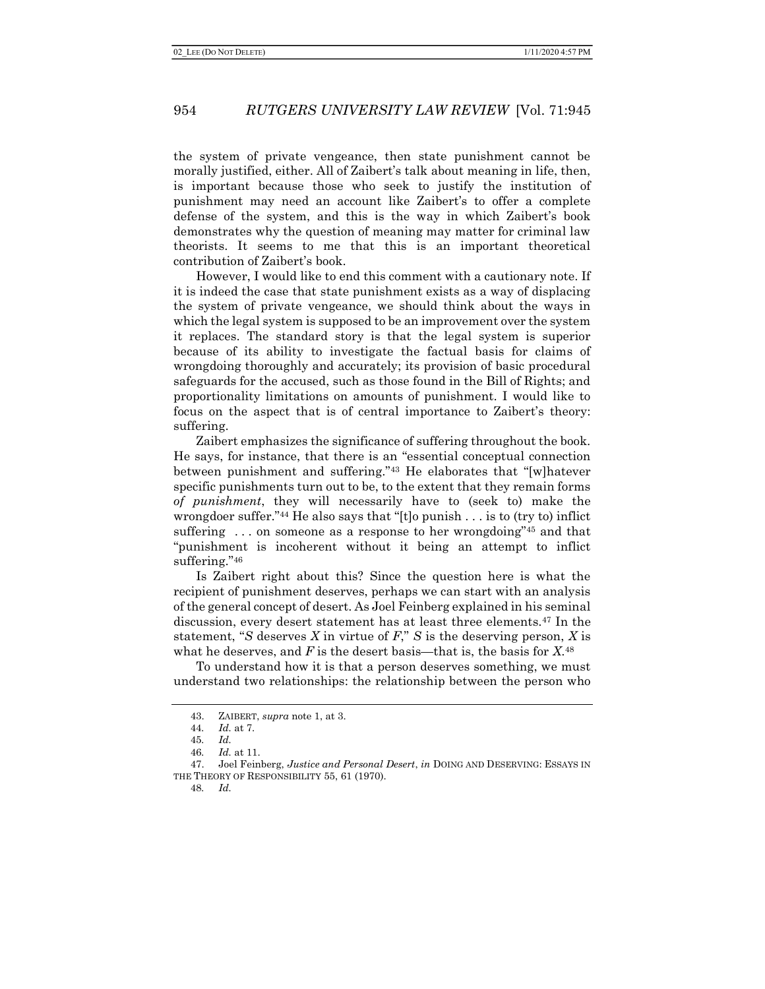the system of private vengeance, then state punishment cannot be morally justified, either. All of Zaibert's talk about meaning in life, then, is important because those who seek to justify the institution of punishment may need an account like Zaibert's to offer a complete defense of the system, and this is the way in which Zaibert's book demonstrates why the question of meaning may matter for criminal law theorists. It seems to me that this is an important theoretical contribution of Zaibert's book.

However, I would like to end this comment with a cautionary note. If it is indeed the case that state punishment exists as a way of displacing the system of private vengeance, we should think about the ways in which the legal system is supposed to be an improvement over the system it replaces. The standard story is that the legal system is superior because of its ability to investigate the factual basis for claims of wrongdoing thoroughly and accurately; its provision of basic procedural safeguards for the accused, such as those found in the Bill of Rights; and proportionality limitations on amounts of punishment. I would like to focus on the aspect that is of central importance to Zaibert's theory: suffering.

Zaibert emphasizes the significance of suffering throughout the book. He says, for instance, that there is an "essential conceptual connection between punishment and suffering."43 He elaborates that "[w]hatever specific punishments turn out to be, to the extent that they remain forms of punishment, they will necessarily have to (seek to) make the wrongdoer suffer."<sup>44</sup> He also says that "[t]o punish  $\ldots$  is to (try to) inflict suffering . . . on someone as a response to her wrongdoing"45 and that "punishment is incoherent without it being an attempt to inflict suffering."46

Is Zaibert right about this? Since the question here is what the recipient of punishment deserves, perhaps we can start with an analysis of the general concept of desert. As Joel Feinberg explained in his seminal discussion, every desert statement has at least three elements.47 In the statement, "S deserves X in virtue of  $F$ ," S is the deserving person, X is what he deserves, and  $F$  is the desert basis—that is, the basis for  $X$ .<sup>48</sup>

To understand how it is that a person deserves something, we must understand two relationships: the relationship between the person who

48. Id.

<sup>43.</sup> ZAIBERT, supra note 1, at 3.

<sup>44</sup>. Id. at 7.

<sup>45</sup>. Id.

<sup>46</sup>. Id. at 11.

<sup>47.</sup> Joel Feinberg, Justice and Personal Desert, in DOING AND DESERVING: ESSAYS IN THE THEORY OF RESPONSIBILITY 55, 61 (1970).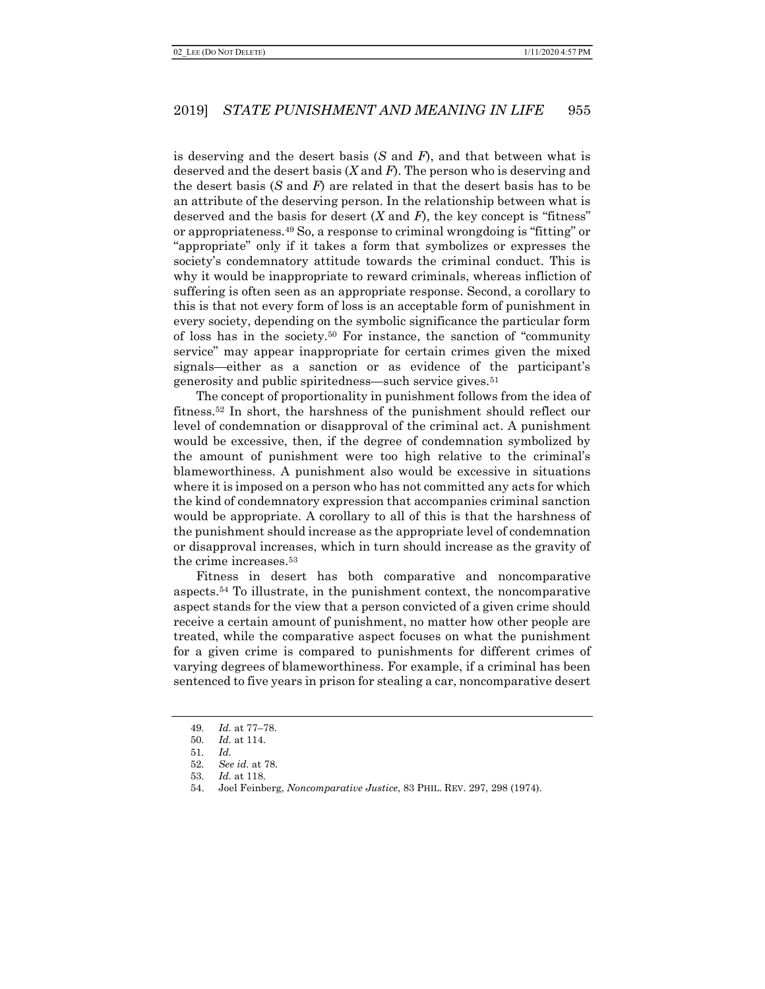is deserving and the desert basis  $(S \text{ and } F)$ , and that between what is deserved and the desert basis  $(X \text{ and } F)$ . The person who is deserving and the desert basis  $(S \text{ and } F)$  are related in that the desert basis has to be an attribute of the deserving person. In the relationship between what is deserved and the basis for desert  $(X \text{ and } F)$ , the key concept is "fitness" or appropriateness.49 So, a response to criminal wrongdoing is "fitting" or "appropriate" only if it takes a form that symbolizes or expresses the society's condemnatory attitude towards the criminal conduct. This is why it would be inappropriate to reward criminals, whereas infliction of suffering is often seen as an appropriate response. Second, a corollary to this is that not every form of loss is an acceptable form of punishment in every society, depending on the symbolic significance the particular form of loss has in the society.50 For instance, the sanction of "community service" may appear inappropriate for certain crimes given the mixed signals—either as a sanction or as evidence of the participant's generosity and public spiritedness—such service gives.<sup>51</sup>

The concept of proportionality in punishment follows from the idea of fitness.52 In short, the harshness of the punishment should reflect our level of condemnation or disapproval of the criminal act. A punishment would be excessive, then, if the degree of condemnation symbolized by the amount of punishment were too high relative to the criminal's blameworthiness. A punishment also would be excessive in situations where it is imposed on a person who has not committed any acts for which the kind of condemnatory expression that accompanies criminal sanction would be appropriate. A corollary to all of this is that the harshness of the punishment should increase as the appropriate level of condemnation or disapproval increases, which in turn should increase as the gravity of the crime increases.<sup>53</sup>

Fitness in desert has both comparative and noncomparative aspects.54 To illustrate, in the punishment context, the noncomparative aspect stands for the view that a person convicted of a given crime should receive a certain amount of punishment, no matter how other people are treated, while the comparative aspect focuses on what the punishment for a given crime is compared to punishments for different crimes of varying degrees of blameworthiness. For example, if a criminal has been sentenced to five years in prison for stealing a car, noncomparative desert

<sup>49</sup>. Id. at 77–78.

<sup>50</sup>. Id. at 114.

<sup>51</sup>. Id.

<sup>52</sup>. See id. at 78.

<sup>53</sup>. Id. at 118.

<sup>54.</sup> Joel Feinberg, Noncomparative Justice, 83 PHIL. REV. 297, 298 (1974).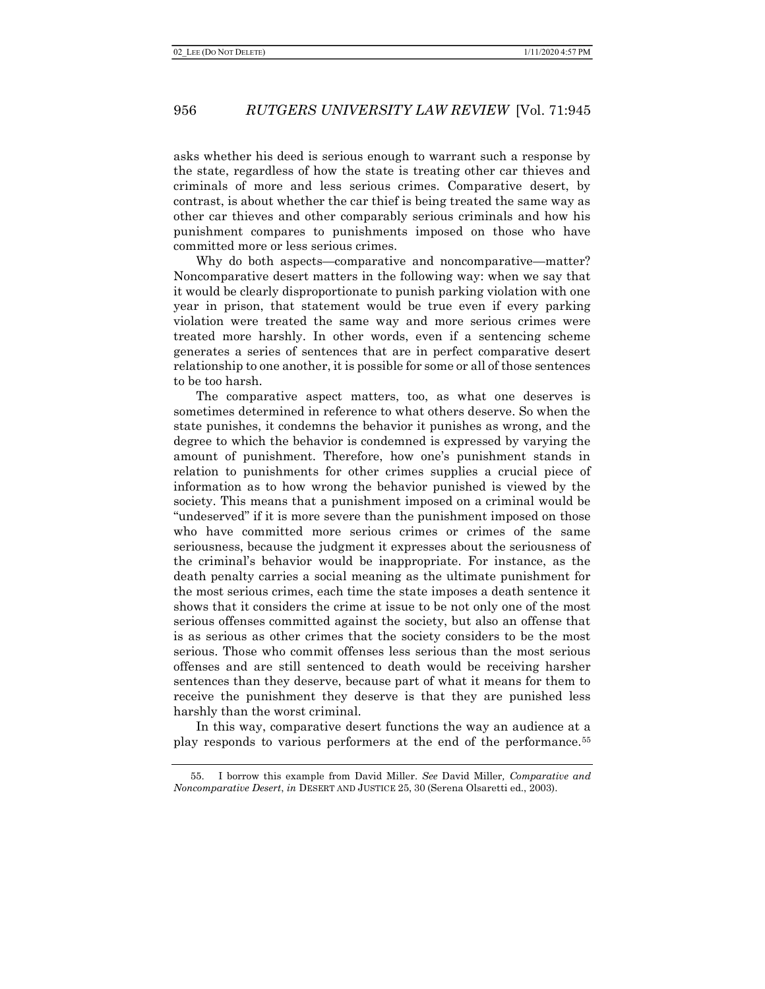asks whether his deed is serious enough to warrant such a response by the state, regardless of how the state is treating other car thieves and criminals of more and less serious crimes. Comparative desert, by contrast, is about whether the car thief is being treated the same way as other car thieves and other comparably serious criminals and how his punishment compares to punishments imposed on those who have committed more or less serious crimes.

Why do both aspects—comparative and noncomparative—matter? Noncomparative desert matters in the following way: when we say that it would be clearly disproportionate to punish parking violation with one year in prison, that statement would be true even if every parking violation were treated the same way and more serious crimes were treated more harshly. In other words, even if a sentencing scheme generates a series of sentences that are in perfect comparative desert relationship to one another, it is possible for some or all of those sentences to be too harsh.

The comparative aspect matters, too, as what one deserves is sometimes determined in reference to what others deserve. So when the state punishes, it condemns the behavior it punishes as wrong, and the degree to which the behavior is condemned is expressed by varying the amount of punishment. Therefore, how one's punishment stands in relation to punishments for other crimes supplies a crucial piece of information as to how wrong the behavior punished is viewed by the society. This means that a punishment imposed on a criminal would be "undeserved" if it is more severe than the punishment imposed on those who have committed more serious crimes or crimes of the same seriousness, because the judgment it expresses about the seriousness of the criminal's behavior would be inappropriate. For instance, as the death penalty carries a social meaning as the ultimate punishment for the most serious crimes, each time the state imposes a death sentence it shows that it considers the crime at issue to be not only one of the most serious offenses committed against the society, but also an offense that is as serious as other crimes that the society considers to be the most serious. Those who commit offenses less serious than the most serious offenses and are still sentenced to death would be receiving harsher sentences than they deserve, because part of what it means for them to receive the punishment they deserve is that they are punished less harshly than the worst criminal.

In this way, comparative desert functions the way an audience at a play responds to various performers at the end of the performance.<sup>55</sup>

<sup>55.</sup> I borrow this example from David Miller. See David Miller, Comparative and Noncomparative Desert, in DESERT AND JUSTICE 25, 30 (Serena Olsaretti ed., 2003).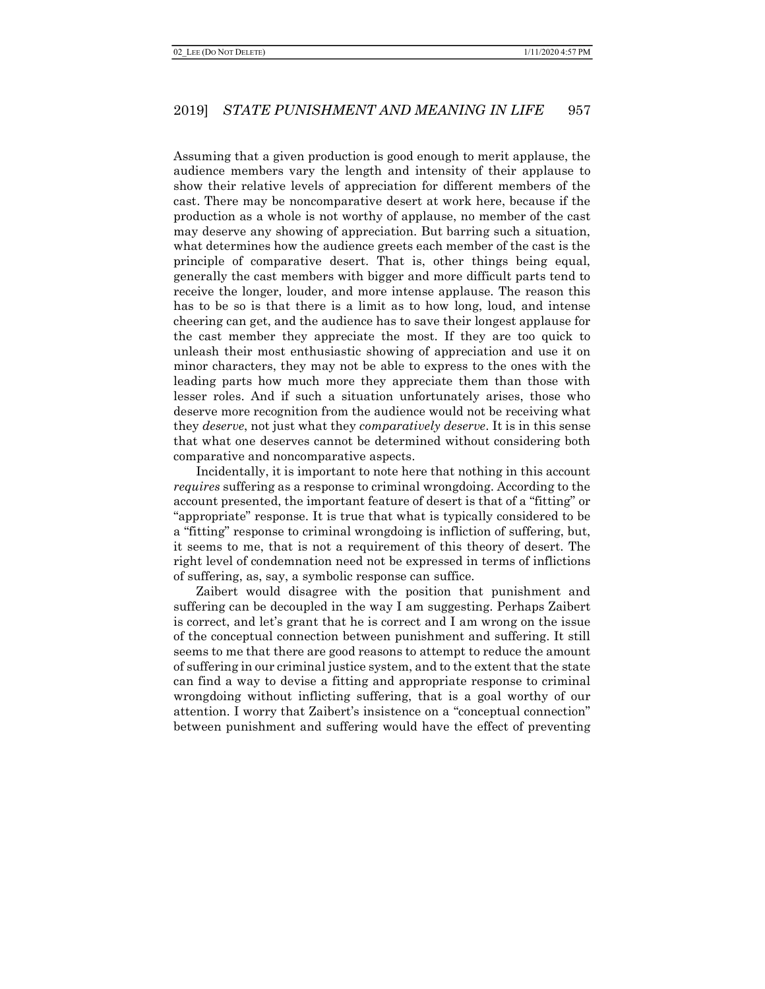Assuming that a given production is good enough to merit applause, the audience members vary the length and intensity of their applause to show their relative levels of appreciation for different members of the cast. There may be noncomparative desert at work here, because if the production as a whole is not worthy of applause, no member of the cast may deserve any showing of appreciation. But barring such a situation, what determines how the audience greets each member of the cast is the principle of comparative desert. That is, other things being equal, generally the cast members with bigger and more difficult parts tend to receive the longer, louder, and more intense applause. The reason this has to be so is that there is a limit as to how long, loud, and intense cheering can get, and the audience has to save their longest applause for the cast member they appreciate the most. If they are too quick to unleash their most enthusiastic showing of appreciation and use it on minor characters, they may not be able to express to the ones with the leading parts how much more they appreciate them than those with lesser roles. And if such a situation unfortunately arises, those who deserve more recognition from the audience would not be receiving what they *deserve*, not just what they *comparatively deserve*. It is in this sense that what one deserves cannot be determined without considering both comparative and noncomparative aspects.

Incidentally, it is important to note here that nothing in this account requires suffering as a response to criminal wrongdoing. According to the account presented, the important feature of desert is that of a "fitting" or "appropriate" response. It is true that what is typically considered to be a "fitting" response to criminal wrongdoing is infliction of suffering, but, it seems to me, that is not a requirement of this theory of desert. The right level of condemnation need not be expressed in terms of inflictions of suffering, as, say, a symbolic response can suffice.

Zaibert would disagree with the position that punishment and suffering can be decoupled in the way I am suggesting. Perhaps Zaibert is correct, and let's grant that he is correct and I am wrong on the issue of the conceptual connection between punishment and suffering. It still seems to me that there are good reasons to attempt to reduce the amount of suffering in our criminal justice system, and to the extent that the state can find a way to devise a fitting and appropriate response to criminal wrongdoing without inflicting suffering, that is a goal worthy of our attention. I worry that Zaibert's insistence on a "conceptual connection" between punishment and suffering would have the effect of preventing